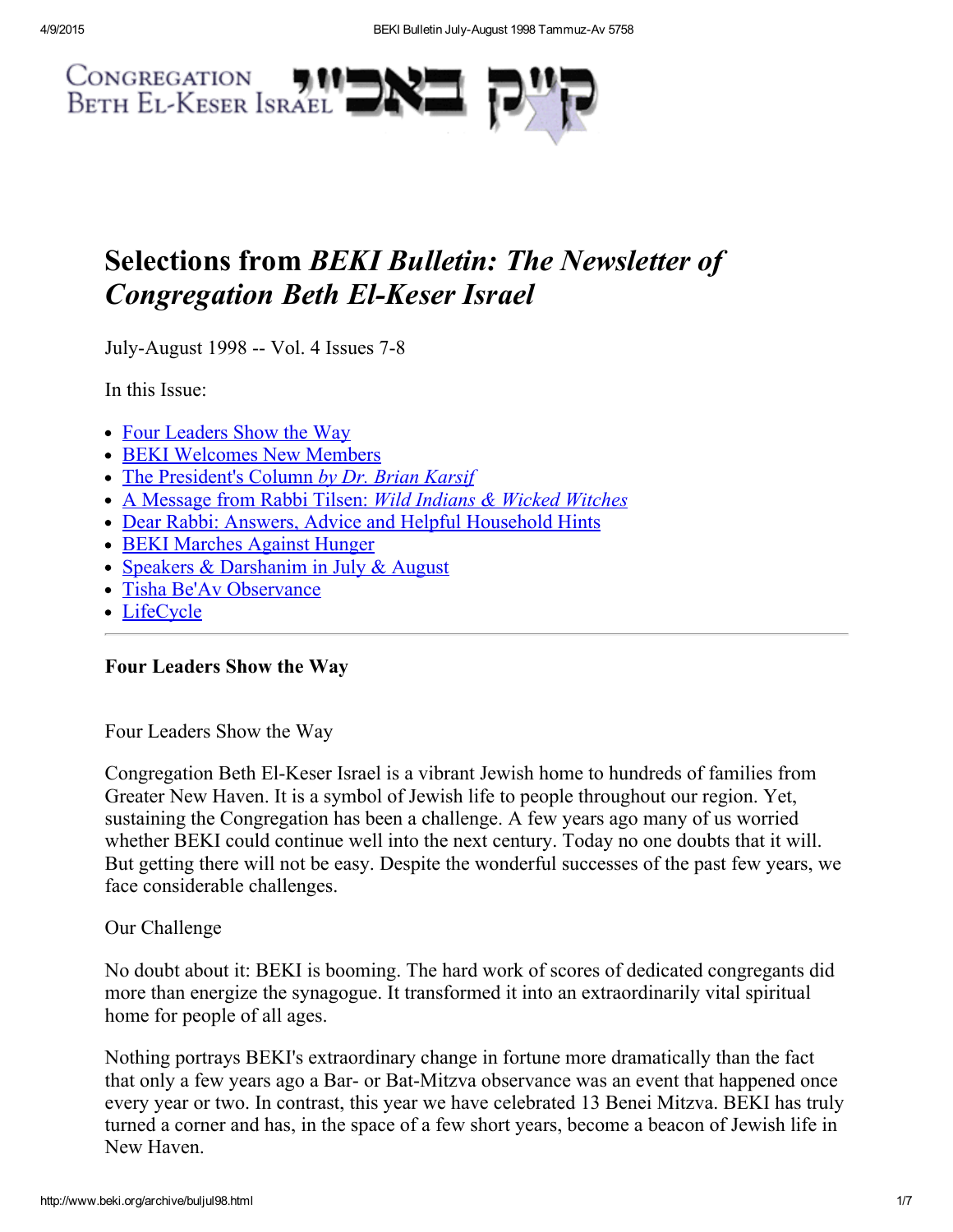

# Selections from BEKI Bulletin: The Newsletter of **Congregation Beth El-Keser Israel**

July-August 1998 -- Vol. 4 Issues 7-8

In this Issue:

- Four [Leaders](#page-0-0) Show the Way
- BEKI [Welcomes](#page-1-0) New Members
- The [President's](#page-1-1) Column by Dr. Brian Karsif
- A [Message](#page-3-0) from Rabbi Tilsen: Wild Indians & Wicked Witches
- Dear Rabbi: Answers, Advice and Helpful [Household](#page-4-1) Hints
- BEKI [Marches](#page-4-2) Against Hunger
- Speakers & [Darshanim](#page-4-0) in July & August
- Tisha Be'Av [Observance](#page-5-1)
- [LifeCycle](#page-5-0)

## <span id="page-0-0"></span>Four Leaders Show the Way

Four Leaders Show the Way

Congregation Beth El-Keser Israel is a vibrant Jewish home to hundreds of families from Greater New Haven. It is a symbol of Jewish life to people throughout our region. Yet, sustaining the Congregation has been a challenge. A few years ago many of us worried whether BEKI could continue well into the next century. Today no one doubts that it will. But getting there will not be easy. Despite the wonderful successes of the past few years, we face considerable challenges.

#### Our Challenge

No doubt about it: BEKI is booming. The hard work of scores of dedicated congregants did more than energize the synagogue. It transformed it into an extraordinarily vital spiritual home for people of all ages.

Nothing portrays BEKI's extraordinary change in fortune more dramatically than the fact that only a few years ago a Bar- or Bat-Mitzva observance was an event that happened once every year or two. In contrast, this year we have celebrated 13 Benei Mitzva. BEKI has truly turned a corner and has, in the space of a few short years, become a beacon of Jewish life in New Haven.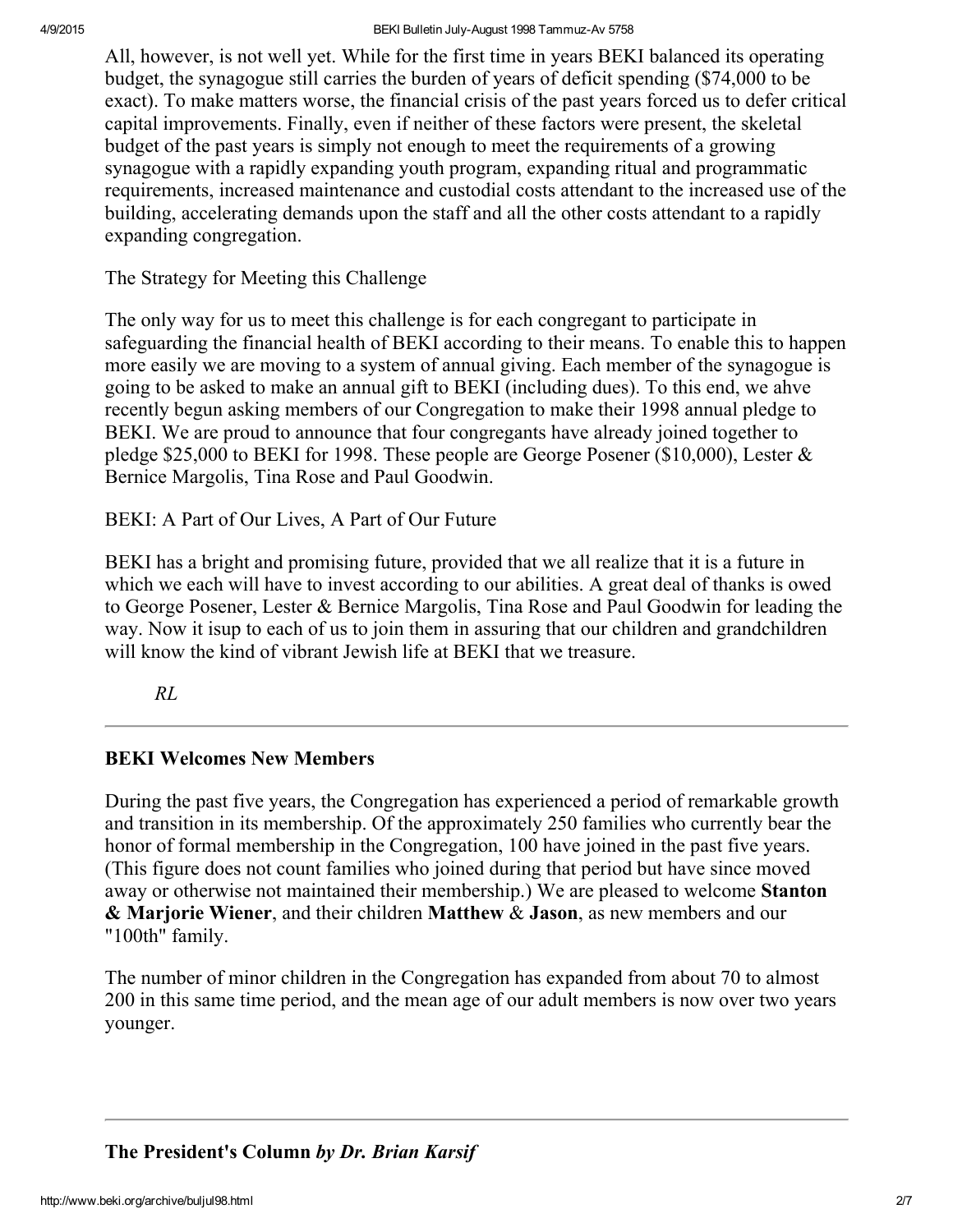All, however, is not well yet. While for the first time in years BEKI balanced its operating budget, the synagogue still carries the burden of years of deficit spending (\$74,000 to be exact). To make matters worse, the financial crisis of the past years forced us to defer critical capital improvements. Finally, even if neither of these factors were present, the skeletal budget of the past years is simply not enough to meet the requirements of a growing synagogue with a rapidly expanding youth program, expanding ritual and programmatic requirements, increased maintenance and custodial costs attendant to the increased use of the building, accelerating demands upon the staff and all the other costs attendant to a rapidly expanding congregation.

The Strategy for Meeting this Challenge

The only way for us to meet this challenge is for each congregant to participate in safeguarding the financial health of BEKI according to their means. To enable this to happen more easily we are moving to a system of annual giving. Each member of the synagogue is going to be asked to make an annual gift to BEKI (including dues). To this end, we ahve recently begun asking members of our Congregation to make their 1998 annual pledge to BEKI. We are proud to announce that four congregants have already joined together to pledge \$25,000 to BEKI for 1998. These people are George Posener (\$10,000), Lester & Bernice Margolis, Tina Rose and Paul Goodwin.

BEKI: A Part of Our Lives, A Part of Our Future

BEKI has a bright and promising future, provided that we all realize that it is a future in which we each will have to invest according to our abilities. A great deal of thanks is owed to George Posener, Lester & Bernice Margolis, Tina Rose and Paul Goodwin for leading the way. Now it isup to each of us to join them in assuring that our children and grandchildren will know the kind of vibrant Jewish life at BEKI that we treasure.

RL

## <span id="page-1-0"></span>BEKI Welcomes New Members

During the past five years, the Congregation has experienced a period of remarkable growth and transition in its membership. Of the approximately 250 families who currently bear the honor of formal membership in the Congregation, 100 have joined in the past five years. (This figure does not count families who joined during that period but have since moved away or otherwise not maintained their membership.) We are pleased to welcome Stanton & Marjorie Wiener, and their children Matthew & Jason, as new members and our "100th" family.

The number of minor children in the Congregation has expanded from about 70 to almost 200 in this same time period, and the mean age of our adult members is now over two years younger.

<span id="page-1-1"></span>The President's Column by Dr. Brian Karsif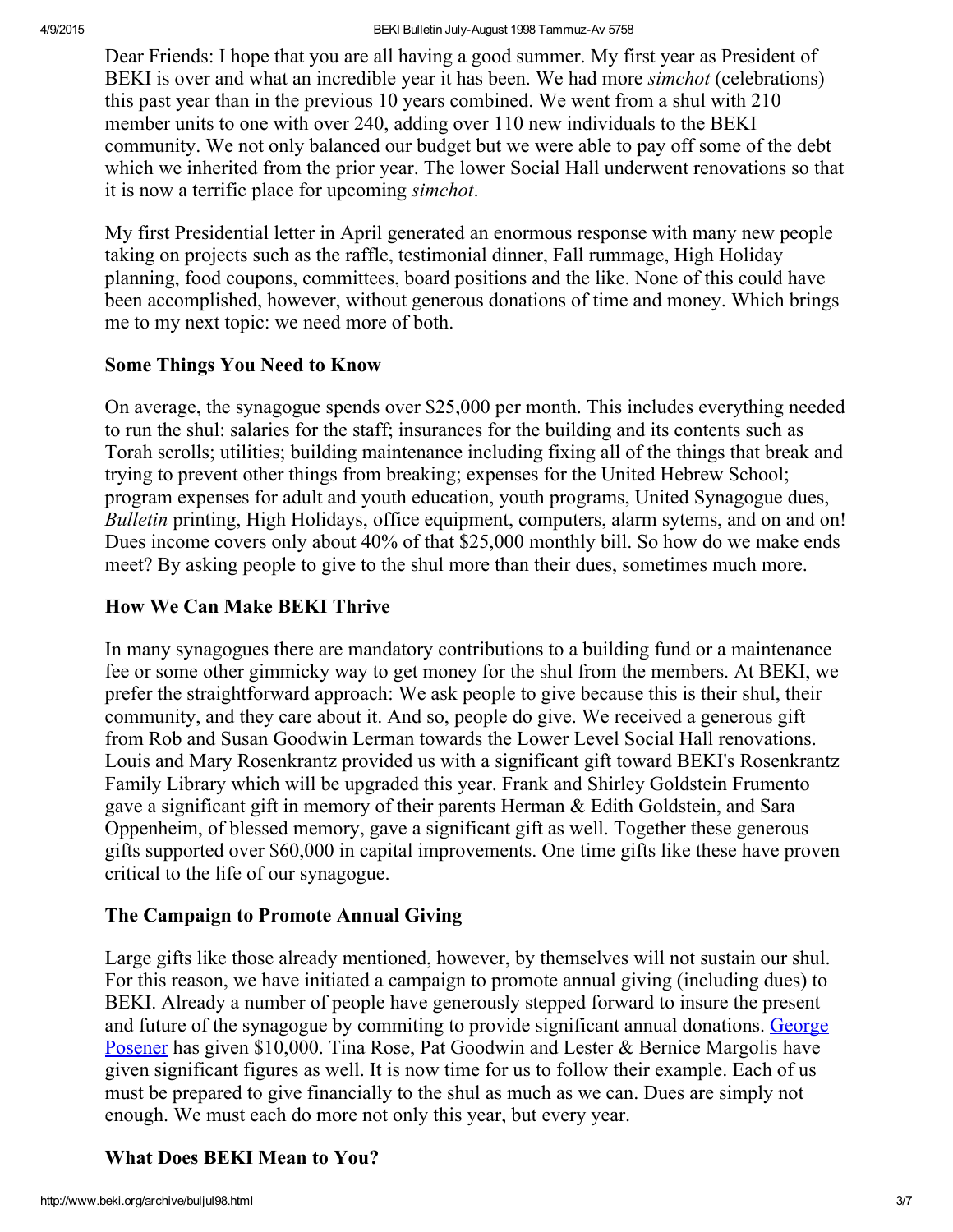Dear Friends: I hope that you are all having a good summer. My first year as President of BEKI is over and what an incredible year it has been. We had more *simchot* (celebrations) this past year than in the previous 10 years combined. We went from a shul with 210 member units to one with over 240, adding over 110 new individuals to the BEKI community. We not only balanced our budget but we were able to pay off some of the debt which we inherited from the prior year. The lower Social Hall underwent renovations so that it is now a terrific place for upcoming simchot.

My first Presidential letter in April generated an enormous response with many new people taking on projects such as the raffle, testimonial dinner, Fall rummage, High Holiday planning, food coupons, committees, board positions and the like. None of this could have been accomplished, however, without generous donations of time and money. Which brings me to my next topic: we need more of both.

#### Some Things You Need to Know

On average, the synagogue spends over \$25,000 per month. This includes everything needed to run the shul: salaries for the staff; insurances for the building and its contents such as Torah scrolls; utilities; building maintenance including fixing all of the things that break and trying to prevent other things from breaking; expenses for the United Hebrew School; program expenses for adult and youth education, youth programs, United Synagogue dues, Bulletin printing, High Holidays, office equipment, computers, alarm sytems, and on and on! Dues income covers only about 40% of that \$25,000 monthly bill. So how do we make ends meet? By asking people to give to the shul more than their dues, sometimes much more.

## How We Can Make BEKI Thrive

In many synagogues there are mandatory contributions to a building fund or a maintenance fee or some other gimmicky way to get money for the shul from the members. At BEKI, we prefer the straightforward approach: We ask people to give because this is their shul, their community, and they care about it. And so, people do give. We received a generous gift from Rob and Susan Goodwin Lerman towards the Lower Level Social Hall renovations. Louis and Mary Rosenkrantz provided us with a significant gift toward BEKI's Rosenkrantz Family Library which will be upgraded this year. Frank and Shirley Goldstein Frumento gave a significant gift in memory of their parents Herman & Edith Goldstein, and Sara Oppenheim, of blessed memory, gave a significant gift as well. Together these generous gifts supported over \$60,000 in capital improvements. One time gifts like these have proven critical to the life of our synagogue.

## The Campaign to Promote Annual Giving

Large gifts like those already mentioned, however, by themselves will not sustain our shul. For this reason, we have initiated a campaign to promote annual giving (including dues) to BEKI. Already a number of people have generously stepped forward to insure the present and future of the synagogue by [commiting](http://www.beki.org/archive/distinguished.html#george) to provide significant annual donations. George Posener has given \$10,000. Tina Rose, Pat Goodwin and Lester & Bernice Margolis have given significant figures as well. It is now time for us to follow their example. Each of us must be prepared to give financially to the shul as much as we can. Dues are simply not enough. We must each do more not only this year, but every year.

## What Does BEKI Mean to You?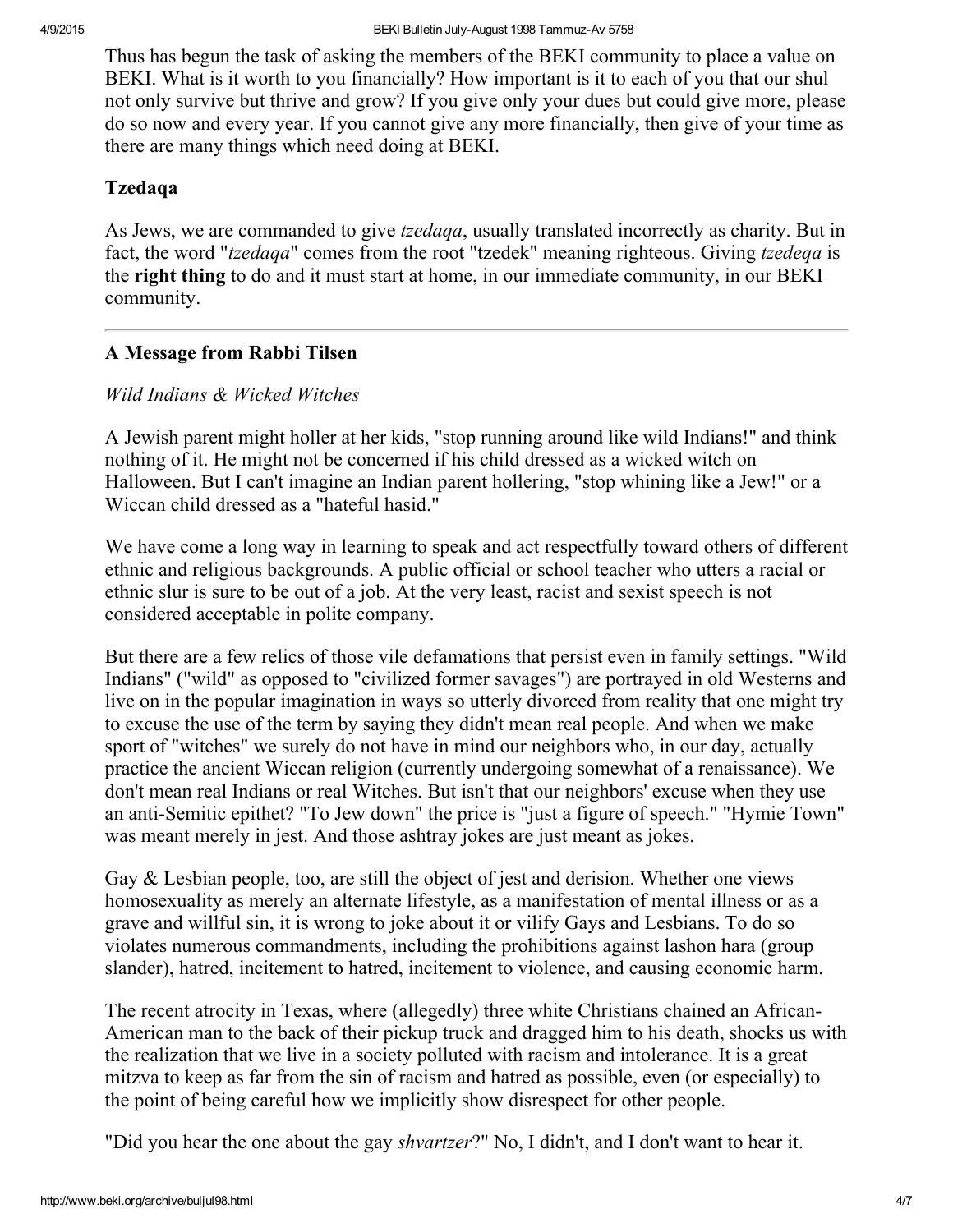Thus has begun the task of asking the members of the BEKI community to place a value on BEKI. What is it worth to you financially? How important is it to each of you that our shul not only survive but thrive and grow? If you give only your dues but could give more, please do so now and every year. If you cannot give any more financially, then give of your time as there are many things which need doing at BEKI.

#### Tzedaqa

As Jews, we are commanded to give *tzedaqa*, usually translated incorrectly as charity. But in fact, the word "*tzedaqa*" comes from the root "tzedek" meaning righteous. Giving *tzedeqa* is the right thing to do and it must start at home, in our immediate community, in our BEKI community.

## <span id="page-3-0"></span>A Message from Rabbi Tilsen

## Wild Indians & Wicked Witches

A Jewish parent might holler at her kids, "stop running around like wild Indians!" and think nothing of it. He might not be concerned if his child dressed as a wicked witch on Halloween. But I can't imagine an Indian parent hollering, "stop whining like a Jew!" or a Wiccan child dressed as a "hateful hasid."

We have come a long way in learning to speak and act respectfully toward others of different ethnic and religious backgrounds. A public official or school teacher who utters a racial or ethnic slur is sure to be out of a job. At the very least, racist and sexist speech is not considered acceptable in polite company.

But there are a few relics of those vile defamations that persist even in family settings. "Wild Indians" ("wild" as opposed to "civilized former savages") are portrayed in old Westerns and live on in the popular imagination in ways so utterly divorced from reality that one might try to excuse the use of the term by saying they didn't mean real people. And when we make sport of "witches" we surely do not have in mind our neighbors who, in our day, actually practice the ancient Wiccan religion (currently undergoing somewhat of a renaissance). We don't mean real Indians or real Witches. But isn't that our neighbors' excuse when they use an anti-Semitic epithet? "To Jew down" the price is "just a figure of speech." "Hymie Town" was meant merely in jest. And those ashtray jokes are just meant as jokes.

Gay & Lesbian people, too, are still the object of jest and derision. Whether one views homosexuality as merely an alternate lifestyle, as a manifestation of mental illness or as a grave and willful sin, it is wrong to joke about it or vilify Gays and Lesbians. To do so violates numerous commandments, including the prohibitions against lashon hara (group slander), hatred, incitement to hatred, incitement to violence, and causing economic harm.

The recent atrocity in Texas, where (allegedly) three white Christians chained an African-American man to the back of their pickup truck and dragged him to his death, shocks us with the realization that we live in a society polluted with racism and intolerance. It is a great mitzva to keep as far from the sin of racism and hatred as possible, even (or especially) to the point of being careful how we implicitly show disrespect for other people.

"Did you hear the one about the gay *shvartzer*?" No, I didn't, and I don't want to hear it.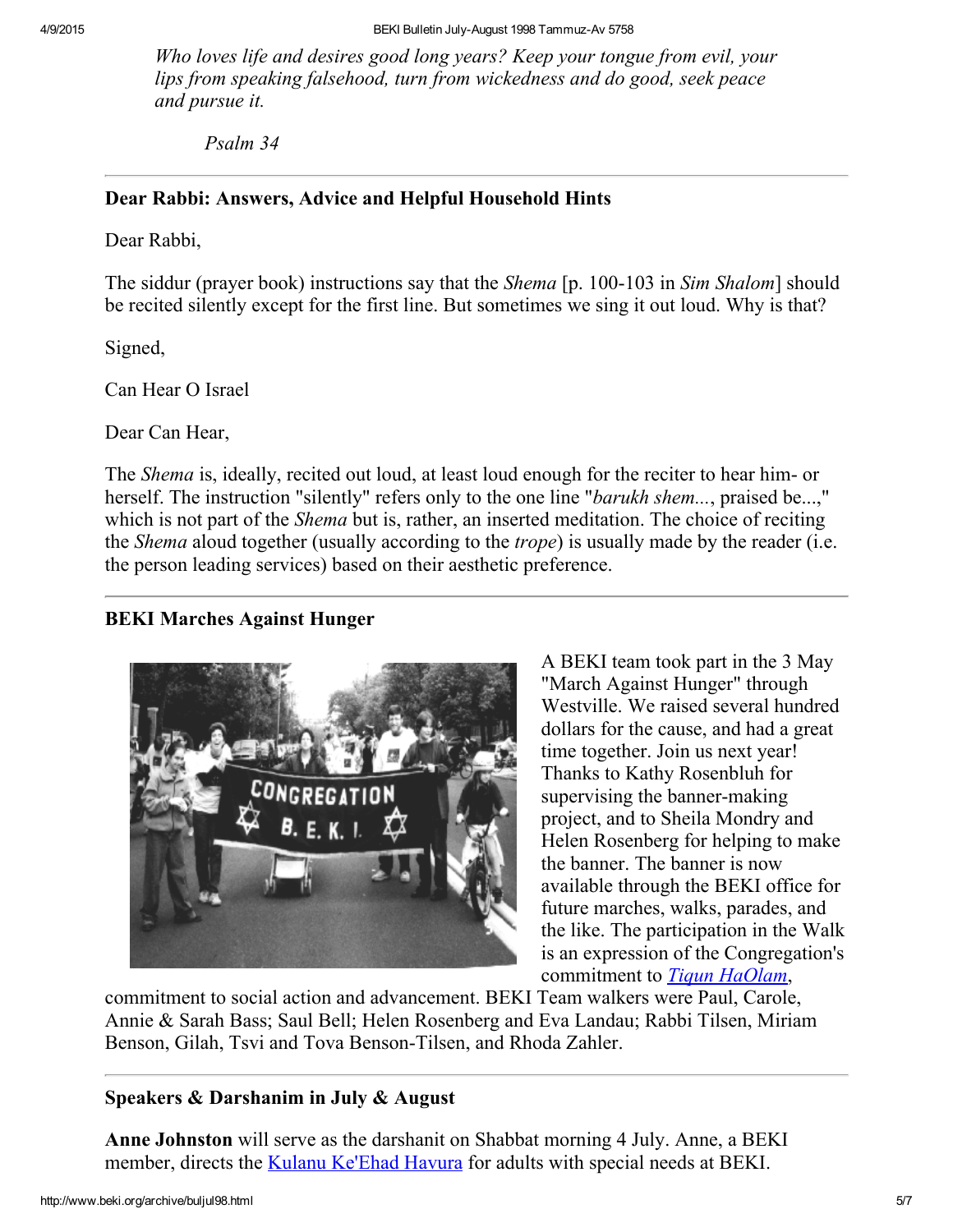Who loves life and desires good long years? Keep your tongue from evil, your lips from speaking falsehood, turn from wickedness and do good, seek peace and pursue it.

Psalm 34

#### <span id="page-4-1"></span>Dear Rabbi: Answers, Advice and Helpful Household Hints

Dear Rabbi,

The siddur (prayer book) instructions say that the *Shema* [p. 100-103 in *Sim Shalom*] should be recited silently except for the first line. But sometimes we sing it out loud. Why is that?

Signed,

Can Hear O Israel

Dear Can Hear,

The *Shema* is, ideally, recited out loud, at least loud enough for the reciter to hear him- or herself. The instruction "silently" refers only to the one line "*barukh shem...*, praised be...," which is not part of the *Shema* but is, rather, an inserted meditation. The choice of reciting the *Shema* aloud together (usually according to the *trope*) is usually made by the reader (i.e. the person leading services) based on their aesthetic preference.

## <span id="page-4-2"></span>BEKI Marches Against Hunger



A BEKI team took part in the 3 May "March Against Hunger" through Westville. We raised several hundred dollars for the cause, and had a great time together. Join us next year! Thanks to Kathy Rosenbluh for supervising the banner-making project, and to Sheila Mondry and Helen Rosenberg for helping to make the banner. The banner is now available through the BEKI office for future marches, walks, parades, and the like. The participation in the Walk is an expression of the Congregation's commitment to *Tigun [HaOlam](http://www.beki.org/archive/tiqunola.html)*,

commitment to social action and advancement. BEKI Team walkers were Paul, Carole, Annie & Sarah Bass; Saul Bell; Helen Rosenberg and Eva Landau; Rabbi Tilsen, Miriam Benson, Gilah, Tsvi and Tova Benson-Tilsen, and Rhoda Zahler.

#### <span id="page-4-0"></span>Speakers & Darshanim in July & August

Anne Johnston will serve as the darshanit on Shabbat morning 4 July. Anne, a BEKI member, directs the Kulanu [Ke'Ehad](http://www.beki.org/archive/kulanu.html) Havura for adults with special needs at BEKI.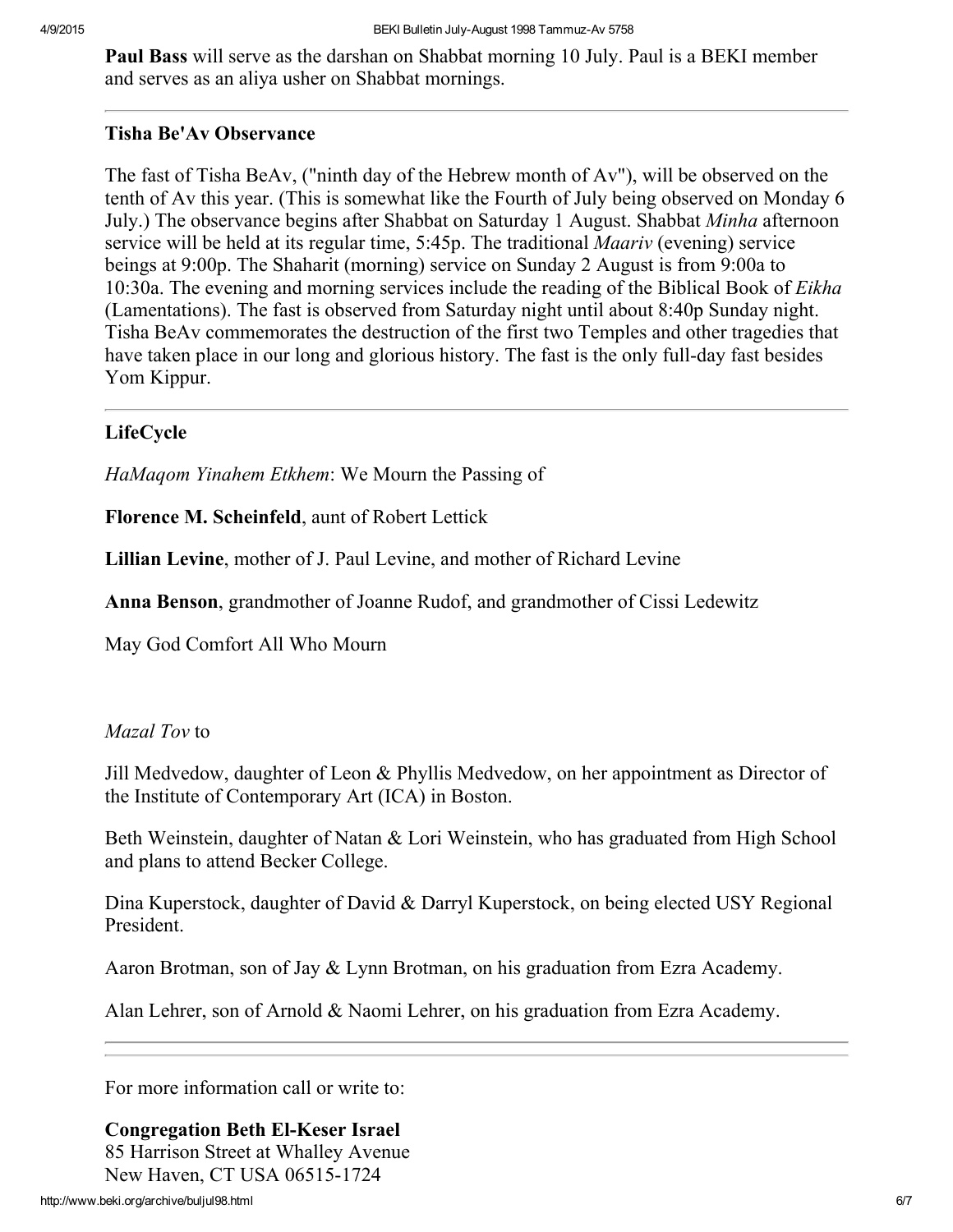Paul Bass will serve as the darshan on Shabbat morning 10 July. Paul is a BEKI member and serves as an aliya usher on Shabbat mornings.

#### <span id="page-5-1"></span>Tisha Be'Av Observance

The fast of Tisha BeAv, ("ninth day of the Hebrew month of Av"), will be observed on the tenth of Av this year. (This is somewhat like the Fourth of July being observed on Monday 6 July.) The observance begins after Shabbat on Saturday 1 August. Shabbat Minha afternoon service will be held at its regular time, 5:45p. The traditional *Maariv* (evening) service beings at 9:00p. The Shaharit (morning) service on Sunday 2 August is from 9:00a to 10:30a. The evening and morning services include the reading of the Biblical Book of Eikha (Lamentations). The fast is observed from Saturday night until about 8:40p Sunday night. Tisha BeAv commemorates the destruction of the first two Temples and other tragedies that have taken place in our long and glorious history. The fast is the only full-day fast besides Yom Kippur.

## <span id="page-5-0"></span>LifeCycle

HaMaqom Yinahem Etkhem: We Mourn the Passing of

Florence M. Scheinfeld, aunt of Robert Lettick

Lillian Levine, mother of J. Paul Levine, and mother of Richard Levine

Anna Benson, grandmother of Joanne Rudof, and grandmother of Cissi Ledewitz

May God Comfort All Who Mourn

## Mazal Tov to

Jill Medvedow, daughter of Leon & Phyllis Medvedow, on her appointment as Director of the Institute of Contemporary Art (ICA) in Boston.

Beth Weinstein, daughter of Natan & Lori Weinstein, who has graduated from High School and plans to attend Becker College.

Dina Kuperstock, daughter of David & Darryl Kuperstock, on being elected USY Regional President.

Aaron Brotman, son of Jay & Lynn Brotman, on his graduation from Ezra Academy.

Alan Lehrer, son of Arnold & Naomi Lehrer, on his graduation from Ezra Academy.

For more information call or write to:

#### **Congregation Beth El-Keser Israel** 85 Harrison Street at Whalley Avenue

New Haven, CT USA 06515-1724